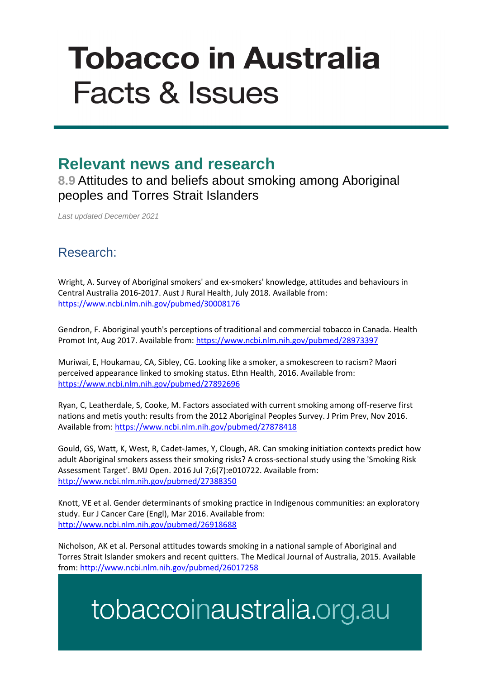# **Tobacco in Australia Facts & Issues**

#### **Relevant news and research**

**8.9** Attitudes to and beliefs about smoking among Aboriginal peoples and Torres Strait Islanders

*Last updated December 2021*

#### Research:

Wright, A. Survey of Aboriginal smokers' and ex-smokers' knowledge, attitudes and behaviours in Central Australia 2016-2017. Aust J Rural Health, July 2018. Available from: <https://www.ncbi.nlm.nih.gov/pubmed/30008176>

Gendron, F. Aboriginal youth's perceptions of traditional and commercial tobacco in Canada. Health Promot Int, Aug 2017. Available from:<https://www.ncbi.nlm.nih.gov/pubmed/28973397>

Muriwai, E, Houkamau, CA, Sibley, CG. Looking like a smoker, a smokescreen to racism? Maori perceived appearance linked to smoking status. Ethn Health, 2016. Available from: <https://www.ncbi.nlm.nih.gov/pubmed/27892696>

Ryan, C, Leatherdale, S, Cooke, M. Factors associated with current smoking among off-reserve first nations and metis youth: results from the 2012 Aboriginal Peoples Survey. J Prim Prev, Nov 2016. Available from: <https://www.ncbi.nlm.nih.gov/pubmed/27878418>

Gould, GS, Watt, K, West, R, Cadet-James, Y, Clough, AR. Can smoking initiation contexts predict how adult Aboriginal smokers assess their smoking risks? A cross-sectional study using the 'Smoking Risk Assessment Target'. BMJ Open. 2016 Jul 7;6(7):e010722. Available from: <http://www.ncbi.nlm.nih.gov/pubmed/27388350>

Knott, VE et al. Gender determinants of smoking practice in Indigenous communities: an exploratory study. Eur J Cancer Care (Engl), Mar 2016. Available from: <http://www.ncbi.nlm.nih.gov/pubmed/26918688>

Nicholson, AK et al. Personal attitudes towards smoking in a national sample of Aboriginal and Torres Strait Islander smokers and recent quitters. The Medical Journal of Australia, 2015. Available from:<http://www.ncbi.nlm.nih.gov/pubmed/26017258>

## tobaccoinaustralia.org.au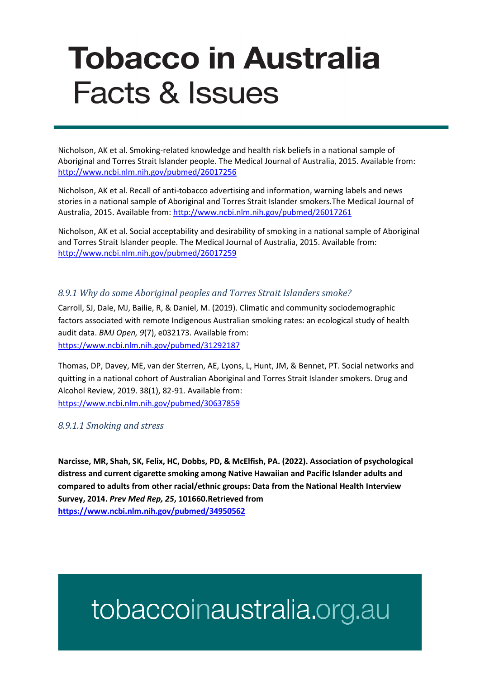# **Tobacco in Australia Facts & Issues**

Nicholson, AK et al. Smoking-related knowledge and health risk beliefs in a national sample of Aboriginal and Torres Strait Islander people. The Medical Journal of Australia, 2015. Available from: <http://www.ncbi.nlm.nih.gov/pubmed/26017256>

Nicholson, AK et al. Recall of anti-tobacco advertising and information, warning labels and news stories in a national sample of Aboriginal and Torres Strait Islander smokers.The Medical Journal of Australia, 2015. Available from: <http://www.ncbi.nlm.nih.gov/pubmed/26017261>

Nicholson, AK et al. Social acceptability and desirability of smoking in a national sample of Aboriginal and Torres Strait Islander people. The Medical Journal of Australia, 2015. Available from: <http://www.ncbi.nlm.nih.gov/pubmed/26017259>

#### *8.9.1 Why do some Aboriginal peoples and Torres Strait Islanders smoke?*

Carroll, SJ, Dale, MJ, Bailie, R, & Daniel, M. (2019). Climatic and community sociodemographic factors associated with remote Indigenous Australian smoking rates: an ecological study of health audit data. *BMJ Open, 9*(7), e032173. Available from: <https://www.ncbi.nlm.nih.gov/pubmed/31292187>

Thomas, DP, Davey, ME, van der Sterren, AE, Lyons, L, Hunt, JM, & Bennet, PT. Social networks and quitting in a national cohort of Australian Aboriginal and Torres Strait Islander smokers. Drug and Alcohol Review, 2019. 38(1), 82-91. Available from: <https://www.ncbi.nlm.nih.gov/pubmed/30637859>

*8.9.1.1 Smoking and stress*

**Narcisse, MR, Shah, SK, Felix, HC, Dobbs, PD, & McElfish, PA. (2022). Association of psychological distress and current cigarette smoking among Native Hawaiian and Pacific Islander adults and compared to adults from other racial/ethnic groups: Data from the National Health Interview Survey, 2014.** *Prev Med Rep, 25***, 101660.Retrieved from <https://www.ncbi.nlm.nih.gov/pubmed/34950562>**

## tobaccoinaustralia.org.au